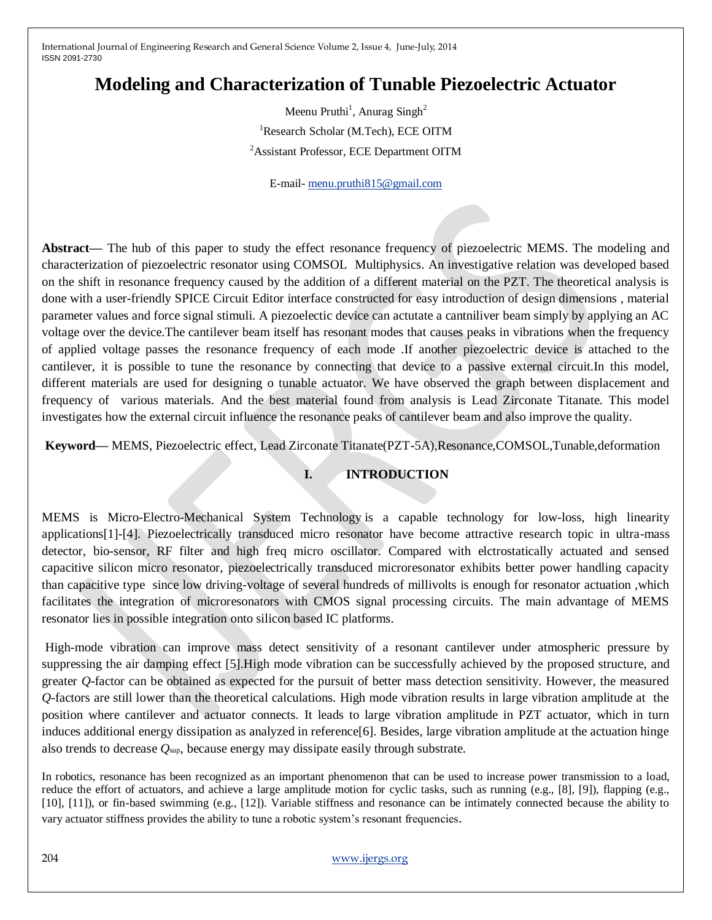# **Modeling and Characterization of Tunable Piezoelectric Actuator**

Meenu Pruthi<sup>1</sup>, Anurag Singh<sup>2</sup> <sup>1</sup>Research Scholar (M.Tech), ECE OITM <sup>2</sup>Assistant Professor, ECE Department OITM

E-mail- [menu.pruthi815@gmail.com](mailto:menu.pruthi815@gmail.com)

**Abstract—** The hub of this paper to study the effect resonance frequency of piezoelectric MEMS. The modeling and characterization of piezoelectric resonator using COMSOL Multiphysics. An investigative relation was developed based on the shift in resonance frequency caused by the addition of a different material on the PZT. The theoretical analysis is done with a user-friendly SPICE Circuit Editor interface constructed for easy introduction of design dimensions , material parameter values and force signal stimuli. A piezoelectic device can actutate a cantniliver beam simply by applying an AC voltage over the device.The cantilever beam itself has resonant modes that causes peaks in vibrations when the frequency of applied voltage passes the resonance frequency of each mode .If another piezoelectric device is attached to the cantilever, it is possible to tune the resonance by connecting that device to a passive external circuit.In this model, different materials are used for designing o tunable actuator. We have observed the graph between displacement and frequency of various materials. And the best material found from analysis is Lead Zirconate Titanate. This model investigates how the external circuit influence the resonance peaks of cantilever beam and also improve the quality.

**Keyword—** MEMS, Piezoelectric effect, Lead Zirconate Titanate(PZT-5A),Resonance,COMSOL,Tunable,deformation

### **I. INTRODUCTION**

MEMS is Micro-Electro-Mechanical System Technology is a capable technology for low-loss, high linearity applications[1]-[4]. Piezoelectrically transduced micro resonator have become attractive research topic in ultra-mass detector, bio-sensor, RF filter and high freq micro oscillator. Compared with elctrostatically actuated and sensed capacitive silicon micro resonator, piezoelectrically transduced microresonator exhibits better power handling capacity than capacitive type since low driving-voltage of several hundreds of millivolts is enough for resonator actuation ,which facilitates the integration of microresonators with CMOS signal processing circuits. The main advantage of MEMS resonator lies in possible integration onto silicon based IC platforms.

High-mode vibration can improve mass detect sensitivity of a resonant cantilever under atmospheric pressure by suppressing the air damping effect [5].High mode vibration can be successfully achieved by the proposed structure, and greater *Q*-factor can be obtained as expected for the pursuit of better mass detection sensitivity. However, the measured *Q*-factors are still lower than the theoretical calculations. High mode vibration results in large vibration amplitude at the position where cantilever and actuator connects. It leads to large vibration amplitude in PZT actuator, which in turn induces additional energy dissipation as analyzed in reference[6]. Besides, large vibration amplitude at the actuation hinge also trends to decrease *Q*sup, because energy may dissipate easily through substrate.

In robotics, resonance has been recognized as an important phenomenon that can be used to increase power transmission to a load, reduce the effort of actuators, and achieve a large amplitude motion for cyclic tasks, such as running (e.g., [8], [9]), flapping (e.g., [10], [11]), or fin-based swimming (e.g., [12]). Variable stiffness and resonance can be intimately connected because the ability to vary actuator stiffness provides the ability to tune a robotic system's resonant frequencies.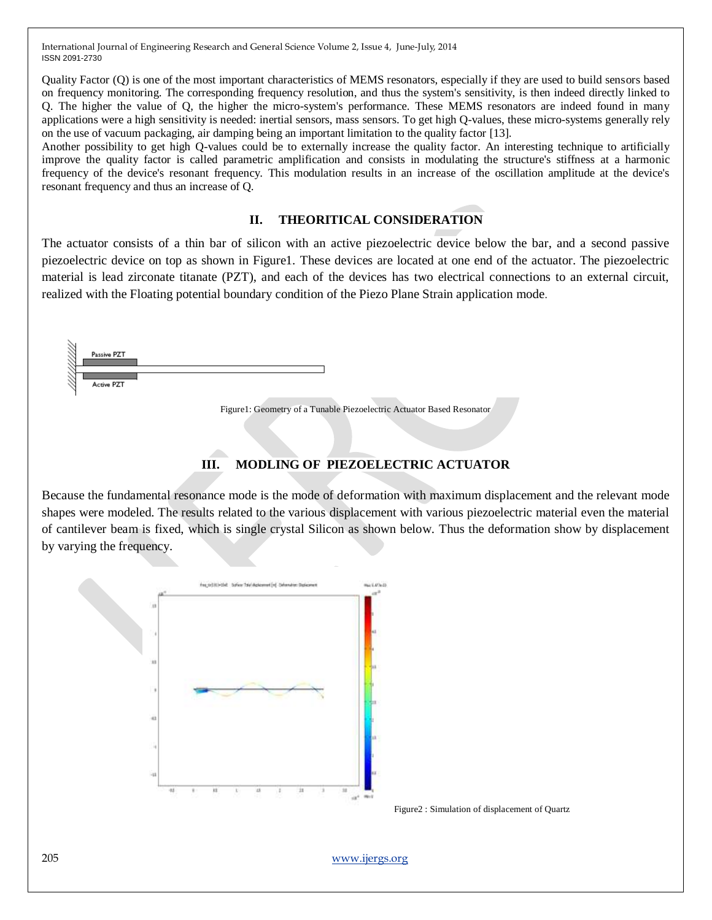Quality Factor (Q) is one of the most important characteristics of MEMS resonators, especially if they are used to build sensors based on frequency monitoring. The corresponding frequency resolution, and thus the system's sensitivity, is then indeed directly linked to Q. The higher the value of Q, the higher the micro-system's performance. These MEMS resonators are indeed found in many applications were a high sensitivity is needed: inertial sensors, mass sensors. To get high Q-values, these micro-systems generally rely on the use of vacuum packaging, air damping being an important limitation to the quality factor [13].

Another possibility to get high Q-values could be to externally increase the quality factor. An interesting technique to artificially improve the quality factor is called parametric amplification and consists in modulating the structure's stiffness at a harmonic frequency of the device's resonant frequency. This modulation results in an increase of the oscillation amplitude at the device's resonant frequency and thus an increase of Q.

#### **II. THEORITICAL CONSIDERATION**

The actuator consists of a thin bar of silicon with an active piezoelectric device below the bar, and a second passive piezoelectric device on top as shown in Figure1. These devices are located at one end of the actuator. The piezoelectric material is lead zirconate titanate (PZT), and each of the devices has two electrical connections to an external circuit, realized with the Floating potential boundary condition of the Piezo Plane Strain application mode.



Figure1: Geometry of a Tunable Piezoelectric Actuator Based Resonator

## **III. MODLING OF PIEZOELECTRIC ACTUATOR**

Because the fundamental resonance mode is the mode of deformation with maximum displacement and the relevant mode shapes were modeled. The results related to the various displacement with various piezoelectric material even the material of cantilever beam is fixed, which is single crystal Silicon as shown below. Thus the deformation show by displacement by varying the frequency.



Figure2 : Simulation of displacement of Quartz

205 [www.ijergs.org](http://www.ijergs.org/)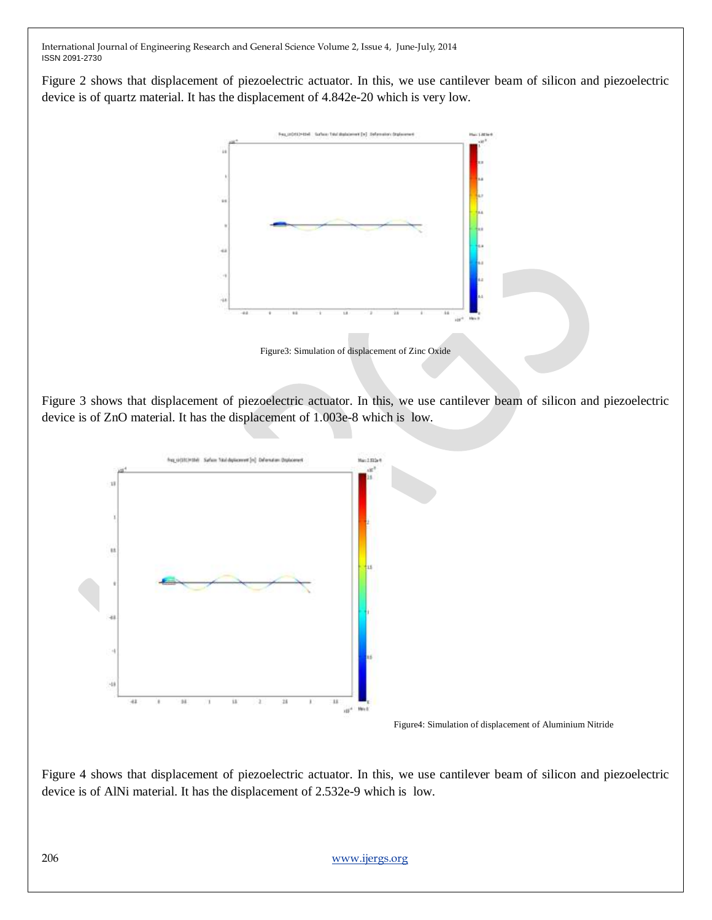Figure 2 shows that displacement of piezoelectric actuator. In this, we use cantilever beam of silicon and piezoelectric device is of quartz material. It has the displacement of 4.842e-20 which is very low.



Figure3: Simulation of displacement of Zinc Oxide

Figure 3 shows that displacement of piezoelectric actuator. In this, we use cantilever beam of silicon and piezoelectric device is of ZnO material. It has the displacement of 1.003e-8 which is low.



Figure 4 shows that displacement of piezoelectric actuator. In this, we use cantilever beam of silicon and piezoelectric device is of AlNi material. It has the displacement of 2.532e-9 which is low.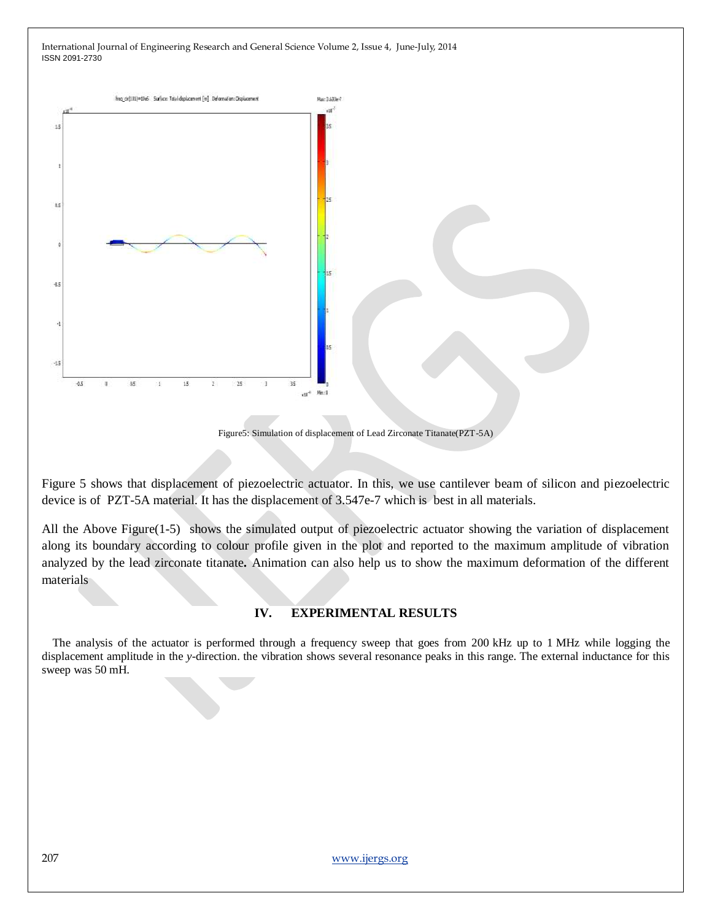

Figure5: Simulation of displacement of Lead Zirconate Titanate(PZT-5A)

Figure 5 shows that displacement of piezoelectric actuator. In this, we use cantilever beam of silicon and piezoelectric device is of PZT-5A material. It has the displacement of 3.547e-7 which is best in all materials.

All the Above Figure(1-5) shows the simulated output of piezoelectric actuator showing the variation of displacement along its boundary according to colour profile given in the plot and reported to the maximum amplitude of vibration analyzed by the lead zirconate titanate**.** Animation can also help us to show the maximum deformation of the different materials

#### **IV. EXPERIMENTAL RESULTS**

The analysis of the actuator is performed through a frequency sweep that goes from 200 kHz up to 1 MHz while logging the displacement amplitude in the *y*-direction. the vibration shows several resonance peaks in this range. The external inductance for this sweep was 50 mH.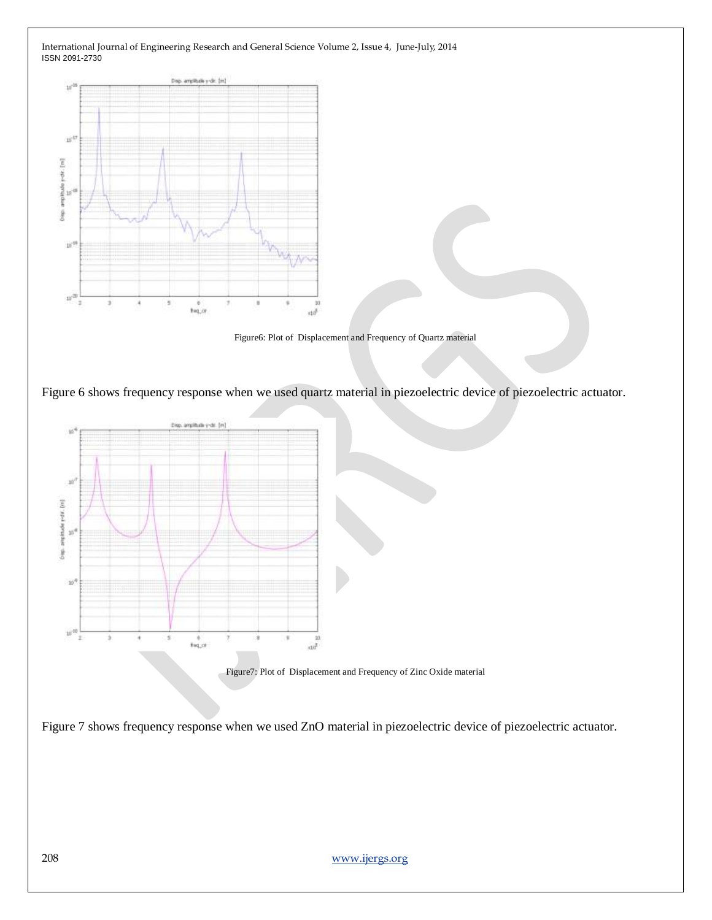

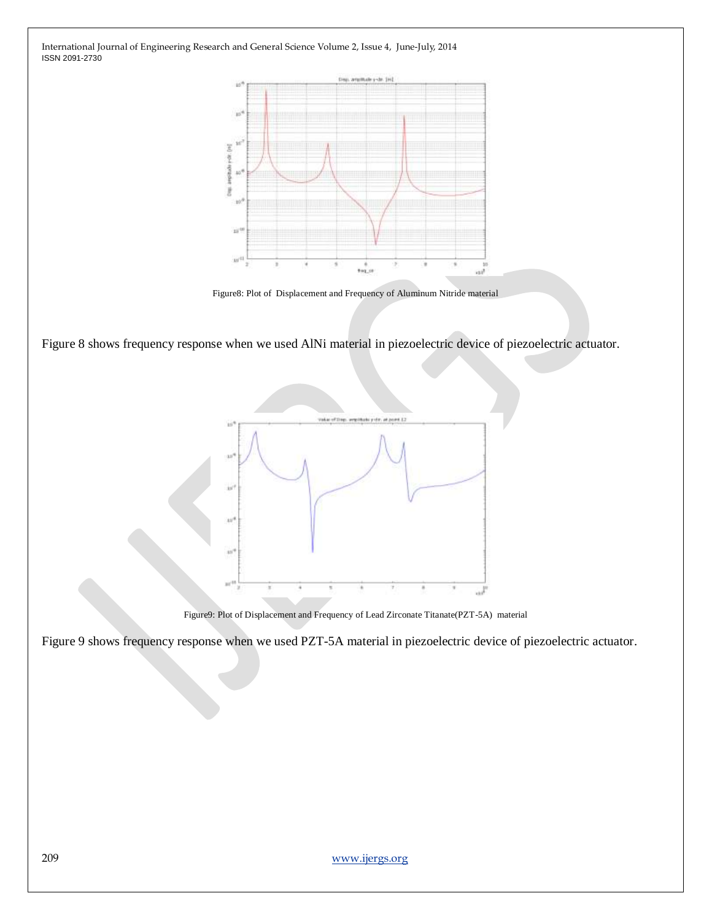

Figure8: Plot of Displacement and Frequency of Aluminum Nitride material

Figure 8 shows frequency response when we used AlNi material in piezoelectric device of piezoelectric actuator.



Figure9: Plot of Displacement and Frequency of Lead Zirconate Titanate(PZT-5A) material

Figure 9 shows frequency response when we used PZT-5A material in piezoelectric device of piezoelectric actuator.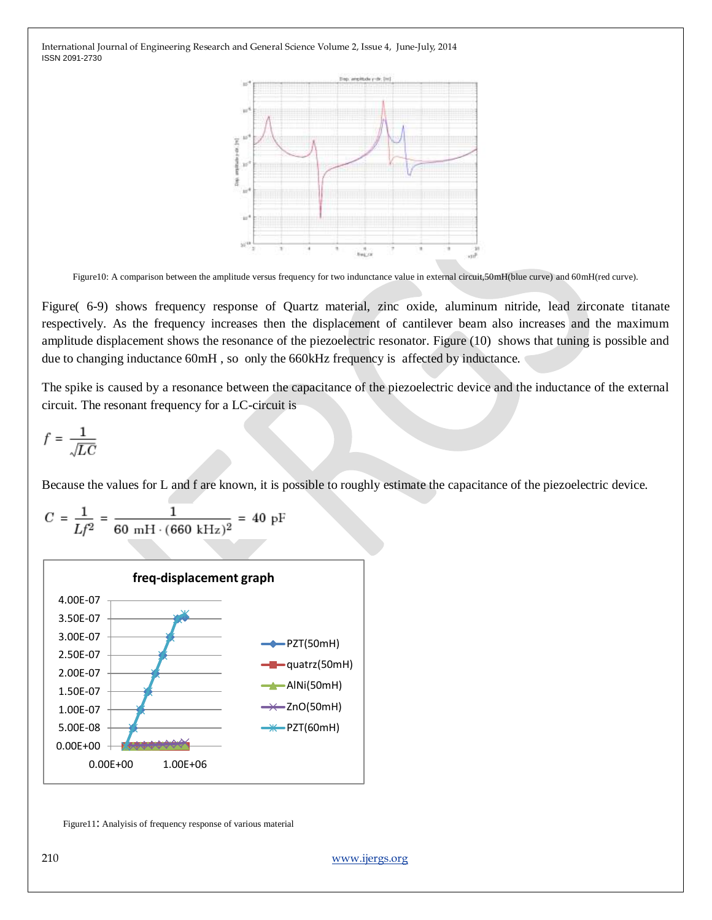

Figure10: A comparison between the amplitude versus frequency for two indunctance value in external circuit,50mH(blue curve) and 60mH(red curve).

Figure( 6-9) shows frequency response of Quartz material, zinc oxide, aluminum nitride, lead zirconate titanate respectively. As the frequency increases then the displacement of cantilever beam also increases and the maximum amplitude displacement shows the resonance of the piezoelectric resonator. Figure (10) shows that tuning is possible and due to changing inductance 60mH , so only the 660kHz frequency is affected by inductance.

The spike is caused by a resonance between the capacitance of the piezoelectric device and the inductance of the external circuit. The resonant frequency for a LC-circuit is

$$
f = \frac{1}{\sqrt{LC}}
$$

Because the values for L and f are known, it is possible to roughly estimate the capacitance of the piezoelectric device.



 $C = \frac{1}{Lf^2} = \frac{1}{60 \text{ mH} \cdot (660 \text{ kHz})^2} = 40 \text{ pF}$ 

Figure11: Analyisis of frequency response of various material

210 [www.ijergs.org](http://www.ijergs.org/)